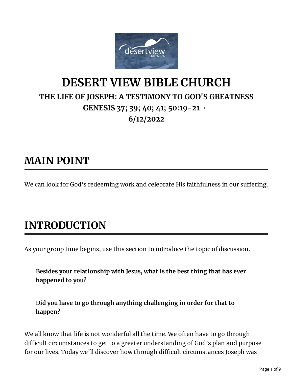

## **DESERT VIEW BIBLE CHURCH THE LIFE OF JOSEPH: A TESTIMONY TO GOD'S GREATNESS GENESIS 37; 39; 40; 41; 50:19-21 • 6/12/2022**

### **MAIN POINT**

We can look for God's redeeming work and celebrate His faithfulness in our suffering.

# **INTRODUCTION**

As your group time begins, use this section to introduce the topic of discussion.

**Besides your relationship with Jesus, what is the best thing that has ever happened to you?**

**Did you have to go through anything challenging in order for that to happen?**

We all know that life is not wonderful all the time. We often have to go through difficult circumstances to get to a greater understanding of God's plan and purpose for our lives. Today we'll discover how through difficult circumstances Joseph was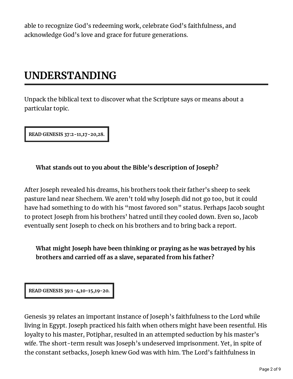able to recognize God's redeeming work, celebrate God's faithfulness, and acknowledge God's love and grace for future generations.

# **UNDERSTANDING**

Unpack the biblical text to discover what the Scripture says or means about a particular topic.

**READ GENESIS 37:2-11,17-20,28.**

### **What stands out to you about the Bible's description of Joseph?**

After Joseph revealed his dreams, his brothers took their father's sheep to seek pasture land near Shechem. We aren't told why Joseph did not go too, but it could have had something to do with his "most favored son" status. Perhaps Jacob sought to protect Joseph from his brothers' hatred until they cooled down. Even so, Jacob eventually sent Joseph to check on his brothers and to bring back a report.

**What might Joseph have been thinking or praying as he was betrayed by his brothers and carried o as a slave, separated from his father?**

**READ GENESIS 39:1-4,10-15,19-20.**

Genesis 39 relates an important instance of Joseph's faithfulness to the Lord while living in Egypt. Joseph practiced his faith when others might have been resentful. His loyalty to his master, Potiphar, resulted in an attempted seduction by his master's wife. The short-term result was Joseph's undeserved imprisonment. Yet, in spite of the constant setbacks, Joseph knew God was with him. The Lord's faithfulness in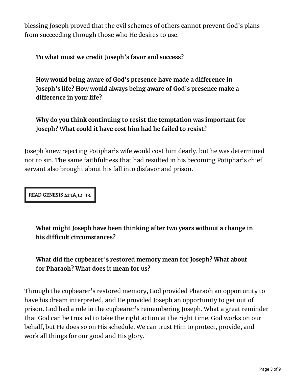blessing Joseph proved that the evil schemes of others cannot prevent God's plans from succeeding through those who He desires to use.

**To what must we credit Joseph's favor and success?**

**How would being aware of God's presence have made a dierence in Joseph's life? How would always being aware of God's presence make a**  $diff$ erence in your life?

**Why do you think continuing to resist the temptation was important for Joseph? What could it have cost him had he failed to resist?**

Joseph knew rejecting Potiphar's wife would cost him dearly, but he was determined not to sin. The same faithfulness that had resulted in his becoming Potiphar's chief servant also brought about his fall into disfavor and prison.

**READ GENESIS 41:1A,12-13.**

**What might Joseph have been thinking after two years without a change in his dicult circumstances?**

**What did the cupbearer's restored memory mean for Joseph? What about for Pharaoh? What does it mean for us?**

Through the cupbearer's restored memory, God provided Pharaoh an opportunity to have his dream interpreted, and He provided Joseph an opportunity to get out of prison. God had a role in the cupbearer's remembering Joseph. What a great reminder that God can be trusted to take the right action at the right time. God works on our behalf, but He does so on His schedule. We can trust Him to protect, provide, and work all things for our good and His glory.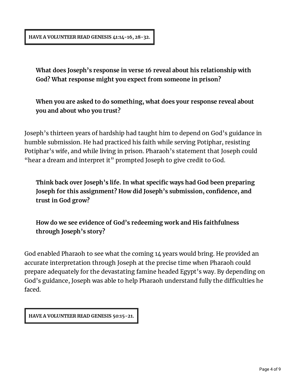#### **HAVE A VOLUNTEER READ GENESIS 41:14-16, 28-32.**

**What does Joseph's response in verse 16 reveal about his relationship with God? What response might you expect from someone in prison?**

**When you are asked to do something, what does your response reveal about you and about who you trust?**

Joseph's thirteen years of hardship had taught him to depend on God's guidance in humble submission. He had practiced his faith while serving Potiphar, resisting Potiphar's wife, and while living in prison. Pharaoh's statement that Joseph could "hear a dream and interpret it" prompted Joseph to give credit to God.

**Think back over Joseph's life. In what specic ways had God been preparing Joseph for this assignment?** How did Joseph's submission, confidence, and **trust in God grow?**

**How do we see evidence of God's redeeming work and His faithfulness through Joseph's story?**

God enabled Pharaoh to see what the coming 14 years would bring. He provided an accurate interpretation through Joseph at the precise time when Pharaoh could prepare adequately for the devastating famine headed Egypt's way. By depending on God's guidance, Joseph was able to help Pharaoh understand fully the difficulties he faced.

**HAVE A VOLUNTEER READ GENESIS 50:15-21.**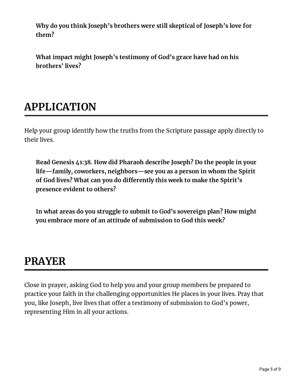**Why do you think Joseph's brothers were still skeptical of Joseph's love for them?**

**What impact might Joseph's testimony of God's grace have had on his brothers' lives?**

# **APPLICATION**

Help your group identify how the truths from the Scripture passage apply directly to their lives.

**Read Genesis 41:38. How did Pharaoh describe Joseph? Do the people in your life—family, coworkers, neighbors—see you as a person in whom the Spirit of God lives? What can you do dierently this week to make the Spirit's presence evident to others?**

**In what areas do you struggle to submit to God's sovereign plan? How might you embrace more of an attitude of submission to God this week?**

## **PRAYER**

Close in prayer, asking God to help you and your group members be prepared to practice your faith in the challenging opportunities He places in your lives. Pray that you, like Joseph, live lives that offer a testimony of submission to God's power, representing Him in all your actions.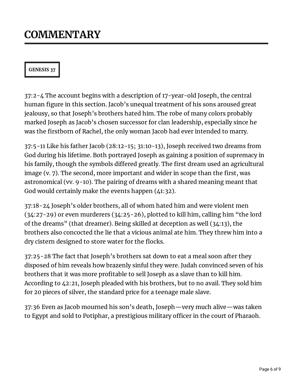## **COMMENTARY**

### **GENESIS 37**

37:2-4 The account begins with a description of 17-year-old Joseph, the central human figure in this section. Jacob's unequal treatment of his sons aroused great jealousy, so that Joseph's brothers hated him. The robe of many colors probably marked Joseph as Jacob's chosen successor for clan leadership, especially since he was the firstborn of Rachel, the only woman Jacob had ever intended to marry.

37:5-11 Like his father Jacob (28:12-15; 31:10-13), Joseph received two dreams from God during his lifetime. Both portrayed Joseph as gaining a position of supremacy in his family, though the symbols differed greatly. The first dream used an agricultural image (v. 7). The second, more important and wider in scope than the first, was astronomical (vv. 9-10). The pairing of dreams with a shared meaning meant that God would certainly make the events happen (41:32).

37:18-24 Joseph's older brothers, all of whom hated him and were violent men (34:27-29) or even murderers (34:25-26), plotted to kill him, calling him "the lord of the dreams" (that dreamer). Being skilled at deception as well (34:13), the brothers also concocted the lie that a vicious animal ate him. They threw him into a dry cistern designed to store water for the flocks.

37:25-28 The fact that Joseph's brothers sat down to eat a meal soon after they disposed of him reveals how brazenly sinful they were. Judah convinced seven of his brothers that it was more profitable to sell Joseph as a slave than to kill him. According to 42:21, Joseph pleaded with his brothers, but to no avail. They sold him for 20 pieces of silver, the standard price for a teenage male slave.

37:36 Even as Jacob mourned his son's death, Joseph—very much alive—was taken to Egypt and sold to Potiphar, a prestigious military officer in the court of Pharaoh.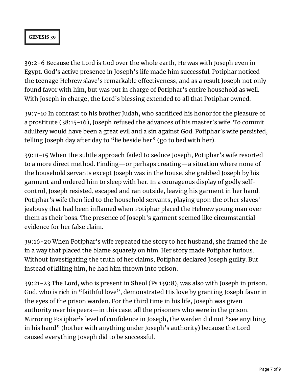#### **GENESIS 39**

39:2-6 Because the Lord is God over the whole earth, He was with Joseph even in Egypt. God's active presence in Joseph's life made him successful. Potiphar noticed the teenage Hebrew slave's remarkable effectiveness, and as a result Joseph not only found favor with him, but was put in charge of Potiphar's entire household as well. With Joseph in charge, the Lord's blessing extended to all that Potiphar owned.

39:7-10 In contrast to his brother Judah, who sacrificed his honor for the pleasure of a prostitute (38:15-16), Joseph refused the advances of his master's wife. To commit adultery would have been a great evil and a sin against God. Potiphar's wife persisted, telling Joseph day after day to "lie beside her" (go to bed with her).

39:11-15 When the subtle approach failed to seduce Joseph, Potiphar's wife resorted to a more direct method. Finding—or perhaps creating—a situation where none of the household servants except Joseph was in the house, she grabbed Joseph by his garment and ordered him to sleep with her. In a courageous display of godly selfcontrol, Joseph resisted, escaped and ran outside, leaving his garment in her hand. Potiphar's wife then lied to the household servants, playing upon the other slaves' jealousy that had been inflamed when Potiphar placed the Hebrew young man over them as their boss. The presence of Joseph's garment seemed like circumstantial evidence for her false claim.

39:16-20 When Potiphar's wife repeated the story to her husband, she framed the lie in a way that placed the blame squarely on him. Her story made Potiphar furious. Without investigating the truth of her claims, Potiphar declared Joseph guilty. But instead of killing him, he had him thrown into prison.

39:21-23 The Lord, who is present in Sheol (Ps 139:8), was also with Joseph in prison. God, who is rich in "faithful love", demonstrated His love by granting Joseph favor in the eyes of the prison warden. For the third time in his life, Joseph was given authority over his peers—in this case, all the prisoners who were in the prison. Mirroring Potiphar's level of confidence in Joseph, the warden did not "see anything in his hand" (bother with anything under Joseph's authority) because the Lord caused everything Joseph did to be successful.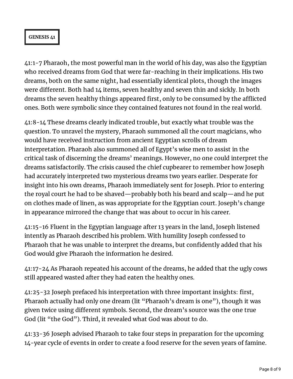#### **GENESIS 41**

41:1-7 Pharaoh, the most powerful man in the world of his day, was also the Egyptian who received dreams from God that were far-reaching in their implications. His two dreams, both on the same night, had essentially identical plots, though the images were different. Both had 14 items, seven healthy and seven thin and sickly. In both dreams the seven healthy things appeared first, only to be consumed by the afflicted ones. Both were symbolic since they contained features not found in the real world.

41:8-14 These dreams clearly indicated trouble, but exactly what trouble was the question. To unravel the mystery, Pharaoh summoned all the court magicians, who would have received instruction from ancient Egyptian scrolls of dream interpretation. Pharaoh also summoned all of Egypt's wise men to assist in the critical task of discerning the dreams' meanings. However, no one could interpret the dreams satisfactorily. The crisis caused the chief cupbearer to remember how Joseph had accurately interpreted two mysterious dreams two years earlier. Desperate for insight into his own dreams, Pharaoh immediately sent for Joseph. Prior to entering the royal court he had to be shaved—probably both his beard and scalp—and he put on clothes made of linen, as was appropriate for the Egyptian court. Joseph's change in appearance mirrored the change that was about to occur in his career.

41:15-16 Fluent in the Egyptian language after 13 years in the land, Joseph listened intently as Pharaoh described his problem. With humility Joseph confessed to Pharaoh that he was unable to interpret the dreams, but confidently added that his God would give Pharaoh the information he desired.

41:17-24 As Pharaoh repeated his account of the dreams, he added that the ugly cows still appeared wasted after they had eaten the healthy ones.

41:25-32 Joseph prefaced his interpretation with three important insights: first, Pharaoh actually had only one dream (lit "Pharaoh's dream is one"), though it was given twice using different symbols. Second, the dream's source was the one true God (lit "the God"). Third, it revealed what God was about to do.

41:33-36 Joseph advised Pharaoh to take four steps in preparation for the upcoming 14-year cycle of events in order to create a food reserve for the seven years of famine.